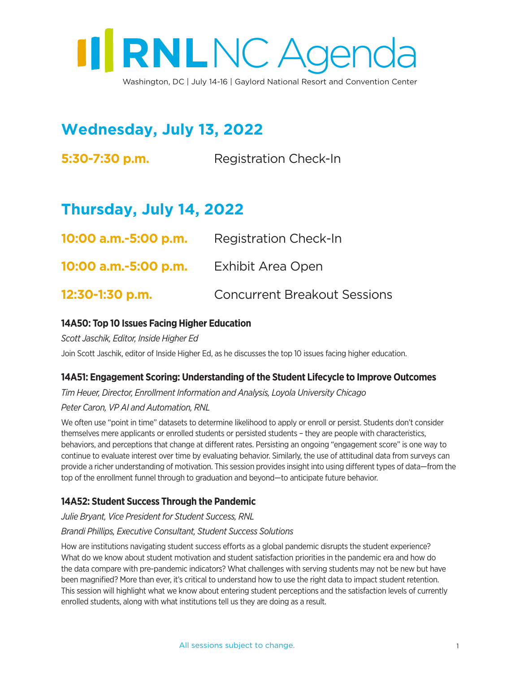

**Wednesday, July 13, 2022**

**5:30-7:30 p.m.** Registration Check-In

# **Thursday, July 14, 2022**

| 10:00 a.m.-5:00 p.m. | <b>Registration Check-In</b>        |
|----------------------|-------------------------------------|
| 10:00 a.m.-5:00 p.m. | Exhibit Area Open                   |
| 12:30-1:30 p.m.      | <b>Concurrent Breakout Sessions</b> |

# **14A50: Top 10 Issues Facing Higher Education**

*Scott Jaschik, Editor, Inside Higher Ed*

Join Scott Jaschik, editor of Inside Higher Ed, as he discusses the top 10 issues facing higher education.

# **14A51: Engagement Scoring: Understanding of the Student Lifecycle to Improve Outcomes**

*Tim Heuer, Director, Enrollment Information and Analysis, Loyola University Chicago*

*Peter Caron, VP AI and Automation, RNL*

We often use "point in time" datasets to determine likelihood to apply or enroll or persist. Students don't consider themselves mere applicants or enrolled students or persisted students – they are people with characteristics, behaviors, and perceptions that change at different rates. Persisting an ongoing "engagement score" is one way to continue to evaluate interest over time by evaluating behavior. Similarly, the use of attitudinal data from surveys can provide a richer understanding of motivation. This session provides insight into using different types of data—from the top of the enrollment funnel through to graduation and beyond—to anticipate future behavior.

# **14A52: Student Success Through the Pandemic**

*Julie Bryant, Vice President for Student Success, RNL*

*Brandi Phillips, Executive Consultant, Student Success Solutions*

How are institutions navigating student success efforts as a global pandemic disrupts the student experience? What do we know about student motivation and student satisfaction priorities in the pandemic era and how do the data compare with pre-pandemic indicators? What challenges with serving students may not be new but have been magnified? More than ever, it's critical to understand how to use the right data to impact student retention. This session will highlight what we know about entering student perceptions and the satisfaction levels of currently enrolled students, along with what institutions tell us they are doing as a result.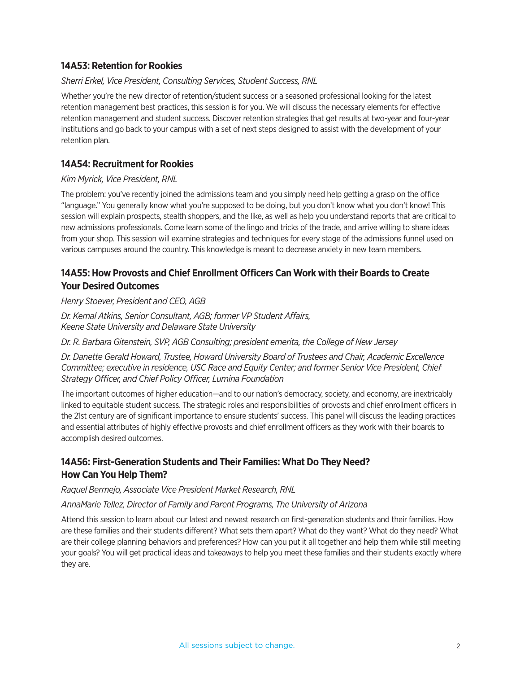# **14A53: Retention for Rookies**

#### *Sherri Erkel, Vice President, Consulting Services, Student Success, RNL*

Whether you're the new director of retention/student success or a seasoned professional looking for the latest retention management best practices, this session is for you. We will discuss the necessary elements for effective retention management and student success. Discover retention strategies that get results at two-year and four-year institutions and go back to your campus with a set of next steps designed to assist with the development of your retention plan.

# **14A54: Recruitment for Rookies**

#### *Kim Myrick, Vice President, RNL*

The problem: you've recently joined the admissions team and you simply need help getting a grasp on the office "language." You generally know what you're supposed to be doing, but you don't know what you don't know! This session will explain prospects, stealth shoppers, and the like, as well as help you understand reports that are critical to new admissions professionals. Come learn some of the lingo and tricks of the trade, and arrive willing to share ideas from your shop. This session will examine strategies and techniques for every stage of the admissions funnel used on various campuses around the country. This knowledge is meant to decrease anxiety in new team members.

# **14A55: How Provosts and Chief Enrollment Officers Can Work with their Boards to Create Your Desired Outcomes**

*Henry Stoever, President and CEO, AGB*

*Dr. Kemal Atkins, Senior Consultant, AGB; former VP Student Affairs, Keene State University and Delaware State University*

*Dr. R. Barbara Gitenstein, SVP, AGB Consulting; president emerita, the College of New Jersey*

*Dr. Danette Gerald Howard, Trustee, Howard University Board of Trustees and Chair, Academic Excellence Committee; executive in residence, USC Race and Equity Center; and former Senior Vice President, Chief Strategy Officer, and Chief Policy Officer, Lumina Foundation*

The important outcomes of higher education—and to our nation's democracy, society, and economy, are inextricably linked to equitable student success. The strategic roles and responsibilities of provosts and chief enrollment officers in the 21st century are of significant importance to ensure students' success. This panel will discuss the leading practices and essential attributes of highly effective provosts and chief enrollment officers as they work with their boards to accomplish desired outcomes.

# **14A56: First-Generation Students and Their Families: What Do They Need? How Can You Help Them?**

#### *Raquel Bermejo, Associate Vice President Market Research, RNL*

#### *AnnaMarie Tellez, Director of Family and Parent Programs, The University of Arizona*

Attend this session to learn about our latest and newest research on first-generation students and their families. How are these families and their students different? What sets them apart? What do they want? What do they need? What are their college planning behaviors and preferences? How can you put it all together and help them while still meeting your goals? You will get practical ideas and takeaways to help you meet these families and their students exactly where they are.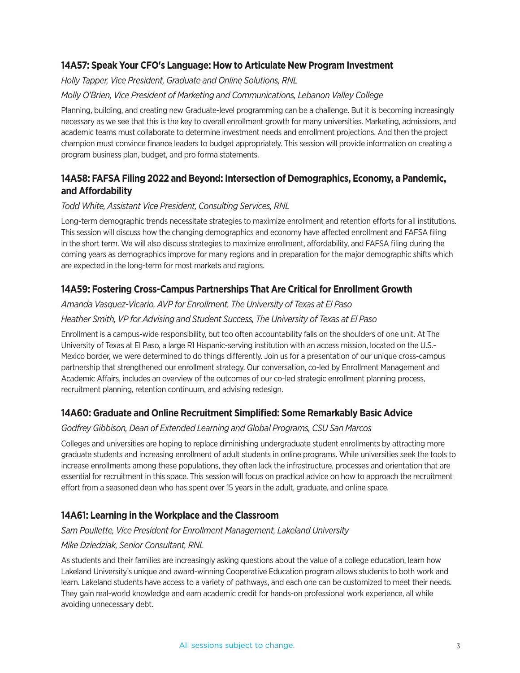# **14A57: Speak Your CFO's Language: How to Articulate New Program Investment**

#### *Holly Tapper, Vice President, Graduate and Online Solutions, RNL*

#### *Molly O'Brien, Vice President of Marketing and Communications, Lebanon Valley College*

Planning, building, and creating new Graduate-level programming can be a challenge. But it is becoming increasingly necessary as we see that this is the key to overall enrollment growth for many universities. Marketing, admissions, and academic teams must collaborate to determine investment needs and enrollment projections. And then the project champion must convince finance leaders to budget appropriately. This session will provide information on creating a program business plan, budget, and pro forma statements.

# **14A58: FAFSA Filing 2022 and Beyond: Intersection of Demographics, Economy, a Pandemic, and Affordability**

#### *Todd White, Assistant Vice President, Consulting Services, RNL*

Long-term demographic trends necessitate strategies to maximize enrollment and retention efforts for all institutions. This session will discuss how the changing demographics and economy have affected enrollment and FAFSA filing in the short term. We will also discuss strategies to maximize enrollment, affordability, and FAFSA filing during the coming years as demographics improve for many regions and in preparation for the major demographic shifts which are expected in the long-term for most markets and regions.

#### **14A59: Fostering Cross-Campus Partnerships That Are Critical for Enrollment Growth**

#### *Amanda Vasquez-Vicario, AVP for Enrollment, The University of Texas at El Paso*

#### *Heather Smith, VP for Advising and Student Success, The University of Texas at El Paso*

Enrollment is a campus-wide responsibility, but too often accountability falls on the shoulders of one unit. At The University of Texas at El Paso, a large R1 Hispanic-serving institution with an access mission, located on the U.S.- Mexico border, we were determined to do things differently. Join us for a presentation of our unique cross-campus partnership that strengthened our enrollment strategy. Our conversation, co-led by Enrollment Management and Academic Affairs, includes an overview of the outcomes of our co-led strategic enrollment planning process, recruitment planning, retention continuum, and advising redesign.

#### **14A60: Graduate and Online Recruitment Simplified: Some Remarkably Basic Advice**

#### *Godfrey Gibbison, Dean of Extended Learning and Global Programs, CSU San Marcos*

Colleges and universities are hoping to replace diminishing undergraduate student enrollments by attracting more graduate students and increasing enrollment of adult students in online programs. While universities seek the tools to increase enrollments among these populations, they often lack the infrastructure, processes and orientation that are essential for recruitment in this space. This session will focus on practical advice on how to approach the recruitment effort from a seasoned dean who has spent over 15 years in the adult, graduate, and online space.

# **14A61: Learning in the Workplace and the Classroom**

#### *Sam Poullette, Vice President for Enrollment Management, Lakeland University*

#### *Mike Dziedziak, Senior Consultant, RNL*

As students and their families are increasingly asking questions about the value of a college education, learn how Lakeland University's unique and award-winning Cooperative Education program allows students to both work and learn. Lakeland students have access to a variety of pathways, and each one can be customized to meet their needs. They gain real-world knowledge and earn academic credit for hands-on professional work experience, all while avoiding unnecessary debt.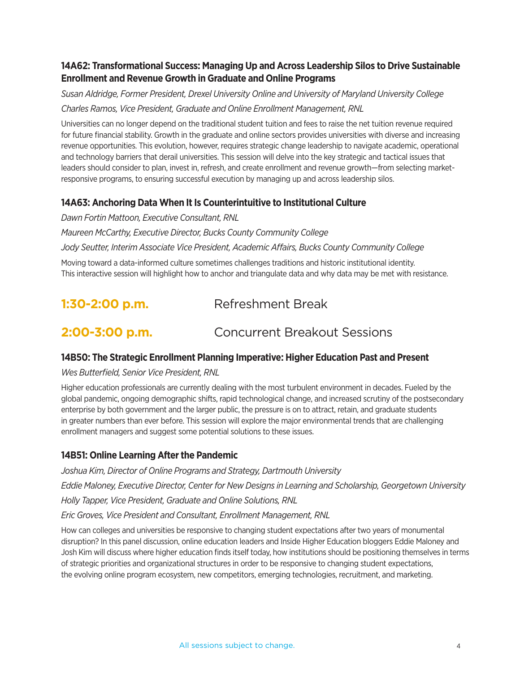# **14A62: Transformational Success: Managing Up and Across Leadership Silos to Drive Sustainable Enrollment and Revenue Growth in Graduate and Online Programs**

*Susan Aldridge, Former President, Drexel University Online and University of Maryland University College Charles Ramos, Vice President, Graduate and Online Enrollment Management, RNL*

Universities can no longer depend on the traditional student tuition and fees to raise the net tuition revenue required for future financial stability. Growth in the graduate and online sectors provides universities with diverse and increasing revenue opportunities. This evolution, however, requires strategic change leadership to navigate academic, operational and technology barriers that derail universities. This session will delve into the key strategic and tactical issues that leaders should consider to plan, invest in, refresh, and create enrollment and revenue growth—from selecting marketresponsive programs, to ensuring successful execution by managing up and across leadership silos.

# **14A63: Anchoring Data When It Is Counterintuitive to Institutional Culture**

*Dawn Fortin Mattoon, Executive Consultant, RNL Maureen McCarthy, Executive Director, Bucks County Community College Jody Seutter, Interim Associate Vice President, Academic Affairs, Bucks County Community College*

Moving toward a data-informed culture sometimes challenges traditions and historic institutional identity. This interactive session will highlight how to anchor and triangulate data and why data may be met with resistance.

| $1:30-2:00$ p.m. | Refreshment Break                   |
|------------------|-------------------------------------|
| 2:00-3:00 p.m.   | <b>Concurrent Breakout Sessions</b> |

# **14B50: The Strategic Enrollment Planning Imperative: Higher Education Past and Present**

# *Wes Butterfield, Senior Vice President, RNL*

Higher education professionals are currently dealing with the most turbulent environment in decades. Fueled by the global pandemic, ongoing demographic shifts, rapid technological change, and increased scrutiny of the postsecondary enterprise by both government and the larger public, the pressure is on to attract, retain, and graduate students in greater numbers than ever before. This session will explore the major environmental trends that are challenging enrollment managers and suggest some potential solutions to these issues.

# **14B51: Online Learning After the Pandemic**

*Joshua Kim, Director of Online Programs and Strategy, Dartmouth University Eddie Maloney, Executive Director, Center for New Designs in Learning and Scholarship, Georgetown University Holly Tapper, Vice President, Graduate and Online Solutions, RNL Eric Groves, Vice President and Consultant, Enrollment Management, RNL*

How can colleges and universities be responsive to changing student expectations after two years of monumental disruption? In this panel discussion, online education leaders and Inside Higher Education bloggers Eddie Maloney and Josh Kim will discuss where higher education finds itself today, how institutions should be positioning themselves in terms of strategic priorities and organizational structures in order to be responsive to changing student expectations, the evolving online program ecosystem, new competitors, emerging technologies, recruitment, and marketing.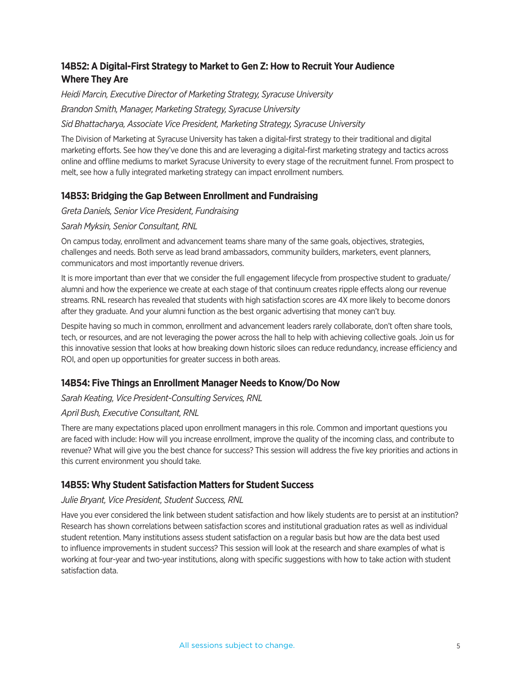# **14B52: A Digital-First Strategy to Market to Gen Z: How to Recruit Your Audience Where They Are**

*Heidi Marcin, Executive Director of Marketing Strategy, Syracuse University Brandon Smith, Manager, Marketing Strategy, Syracuse University*

#### *Sid Bhattacharya, Associate Vice President, Marketing Strategy, Syracuse University*

The Division of Marketing at Syracuse University has taken a digital-first strategy to their traditional and digital marketing efforts. See how they've done this and are leveraging a digital-first marketing strategy and tactics across online and offline mediums to market Syracuse University to every stage of the recruitment funnel. From prospect to melt, see how a fully integrated marketing strategy can impact enrollment numbers.

# **14B53: Bridging the Gap Between Enrollment and Fundraising**

*Greta Daniels, Senior Vice President, Fundraising*

# *Sarah Myksin, Senior Consultant, RNL*

On campus today, enrollment and advancement teams share many of the same goals, objectives, strategies, challenges and needs. Both serve as lead brand ambassadors, community builders, marketers, event planners, communicators and most importantly revenue drivers.

It is more important than ever that we consider the full engagement lifecycle from prospective student to graduate/ alumni and how the experience we create at each stage of that continuum creates ripple effects along our revenue streams. RNL research has revealed that students with high satisfaction scores are 4X more likely to become donors after they graduate. And your alumni function as the best organic advertising that money can't buy.

Despite having so much in common, enrollment and advancement leaders rarely collaborate, don't often share tools, tech, or resources, and are not leveraging the power across the hall to help with achieving collective goals. Join us for this innovative session that looks at how breaking down historic siloes can reduce redundancy, increase efficiency and ROI, and open up opportunities for greater success in both areas.

# **14B54: Five Things an Enrollment Manager Needs to Know/Do Now**

# *Sarah Keating, Vice President-Consulting Services, RNL*

# *April Bush, Executive Consultant, RNL*

There are many expectations placed upon enrollment managers in this role. Common and important questions you are faced with include: How will you increase enrollment, improve the quality of the incoming class, and contribute to revenue? What will give you the best chance for success? This session will address the five key priorities and actions in this current environment you should take.

# **14B55: Why Student Satisfaction Matters for Student Success**

#### *Julie Bryant, Vice President, Student Success, RNL*

Have you ever considered the link between student satisfaction and how likely students are to persist at an institution? Research has shown correlations between satisfaction scores and institutional graduation rates as well as individual student retention. Many institutions assess student satisfaction on a regular basis but how are the data best used to influence improvements in student success? This session will look at the research and share examples of what is working at four-year and two-year institutions, along with specific suggestions with how to take action with student satisfaction data.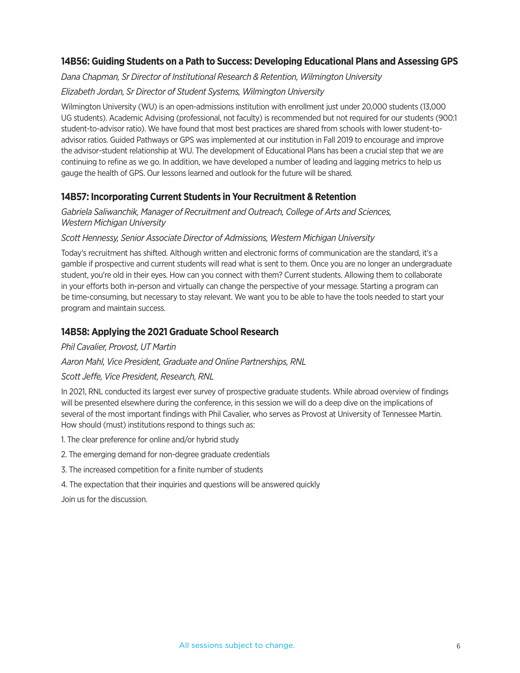# **14B56: Guiding Students on a Path to Success: Developing Educational Plans and Assessing GPS**

*Dana Chapman, Sr Director of Institutional Research & Retention, Wilmington University*

# *Elizabeth Jordan, Sr Director of Student Systems, Wilmington University*

Wilmington University (WU) is an open-admissions institution with enrollment just under 20,000 students (13,000 UG students). Academic Advising (professional, not faculty) is recommended but not required for our students (900:1 student-to-advisor ratio). We have found that most best practices are shared from schools with lower student-toadvisor ratios. Guided Pathways or GPS was implemented at our institution in Fall 2019 to encourage and improve the advisor-student relationship at WU. The development of Educational Plans has been a crucial step that we are continuing to refine as we go. In addition, we have developed a number of leading and lagging metrics to help us gauge the health of GPS. Our lessons learned and outlook for the future will be shared.

# **14B57: Incorporating Current Students in Your Recruitment & Retention**

#### *Gabriela Saliwanchik, Manager of Recruitment and Outreach, College of Arts and Sciences, Western Michigan University*

# *Scott Hennessy, Senior Associate Director of Admissions, Western Michigan University*

Today's recruitment has shifted. Although written and electronic forms of communication are the standard, it's a gamble if prospective and current students will read what is sent to them. Once you are no longer an undergraduate student, you're old in their eyes. How can you connect with them? Current students. Allowing them to collaborate in your efforts both in-person and virtually can change the perspective of your message. Starting a program can be time-consuming, but necessary to stay relevant. We want you to be able to have the tools needed to start your program and maintain success.

# **14B58: Applying the 2021 Graduate School Research**

#### *Phil Cavalier, Provost, UT Martin*

#### *Aaron Mahl, Vice President, Graduate and Online Partnerships, RNL*

#### *Scott Jeffe, Vice President, Research, RNL*

In 2021, RNL conducted its largest ever survey of prospective graduate students. While abroad overview of findings will be presented elsewhere during the conference, in this session we will do a deep dive on the implications of several of the most important findings with Phil Cavalier, who serves as Provost at University of Tennessee Martin. How should (must) institutions respond to things such as:

1. The clear preference for online and/or hybrid study

2. The emerging demand for non-degree graduate credentials

- 3. The increased competition for a finite number of students
- 4. The expectation that their inquiries and questions will be answered quickly

Join us for the discussion.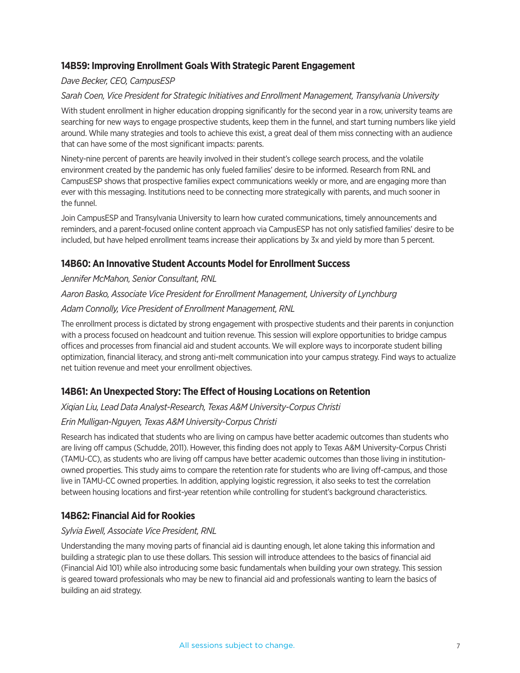# **14B59: Improving Enrollment Goals With Strategic Parent Engagement**

#### *Dave Becker, CEO, CampusESP*

#### *Sarah Coen, Vice President for Strategic Initiatives and Enrollment Management, Transylvania University*

With student enrollment in higher education dropping significantly for the second year in a row, university teams are searching for new ways to engage prospective students, keep them in the funnel, and start turning numbers like yield around. While many strategies and tools to achieve this exist, a great deal of them miss connecting with an audience that can have some of the most significant impacts: parents.

Ninety-nine percent of parents are heavily involved in their student's college search process, and the volatile environment created by the pandemic has only fueled families' desire to be informed. Research from RNL and CampusESP shows that prospective families expect communications weekly or more, and are engaging more than ever with this messaging. Institutions need to be connecting more strategically with parents, and much sooner in the funnel.

Join CampusESP and Transylvania University to learn how curated communications, timely announcements and reminders, and a parent-focused online content approach via CampusESP has not only satisfied families' desire to be included, but have helped enrollment teams increase their applications by 3x and yield by more than 5 percent.

# **14B60: An Innovative Student Accounts Model for Enrollment Success**

#### *Jennifer McMahon, Senior Consultant, RNL*

#### *Aaron Basko, Associate Vice President for Enrollment Management, University of Lynchburg*

#### *Adam Connolly, Vice President of Enrollment Management, RNL*

The enrollment process is dictated by strong engagement with prospective students and their parents in conjunction with a process focused on headcount and tuition revenue. This session will explore opportunities to bridge campus offices and processes from financial aid and student accounts. We will explore ways to incorporate student billing optimization, financial literacy, and strong anti-melt communication into your campus strategy. Find ways to actualize net tuition revenue and meet your enrollment objectives.

# **14B61: An Unexpected Story: The Effect of Housing Locations on Retention**

#### *Xiqian Liu, Lead Data Analyst-Research, Texas A&M University-Corpus Christi*

#### *Erin Mulligan-Nguyen, Texas A&M University-Corpus Christi*

Research has indicated that students who are living on campus have better academic outcomes than students who are living off campus (Schudde, 2011). However, this finding does not apply to Texas A&M University-Corpus Christi (TAMU-CC), as students who are living off campus have better academic outcomes than those living in institutionowned properties. This study aims to compare the retention rate for students who are living off-campus, and those live in TAMU-CC owned properties. In addition, applying logistic regression, it also seeks to test the correlation between housing locations and first-year retention while controlling for student's background characteristics.

# **14B62: Financial Aid for Rookies**

#### *Sylvia Ewell, Associate Vice President, RNL*

Understanding the many moving parts of financial aid is daunting enough, let alone taking this information and building a strategic plan to use these dollars. This session will introduce attendees to the basics of financial aid (Financial Aid 101) while also introducing some basic fundamentals when building your own strategy. This session is geared toward professionals who may be new to financial aid and professionals wanting to learn the basics of building an aid strategy.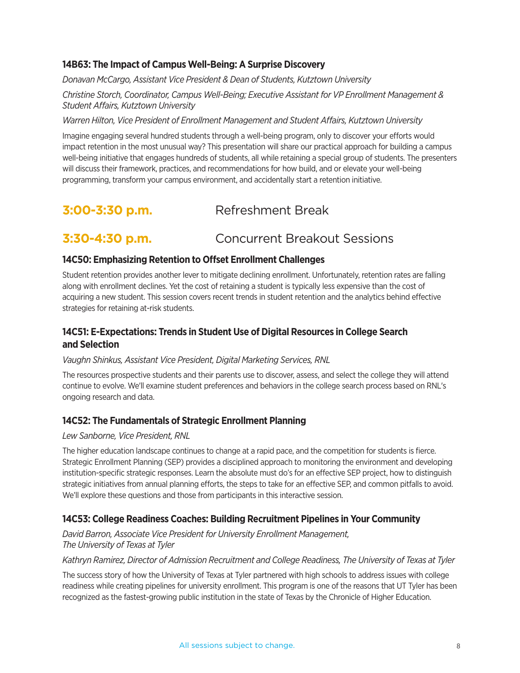# **14B63: The Impact of Campus Well-Being: A Surprise Discovery**

*Donavan McCargo, Assistant Vice President & Dean of Students, Kutztown University*

*Christine Storch, Coordinator, Campus Well-Being; Executive Assistant for VP Enrollment Management & Student Affairs, Kutztown University*

#### *Warren Hilton, Vice President of Enrollment Management and Student Affairs, Kutztown University*

Imagine engaging several hundred students through a well-being program, only to discover your efforts would impact retention in the most unusual way? This presentation will share our practical approach for building a campus well-being initiative that engages hundreds of students, all while retaining a special group of students. The presenters will discuss their framework, practices, and recommendations for how build, and or elevate your well-being programming, transform your campus environment, and accidentally start a retention initiative.

# **3:00-3:30 p.m. Refreshment Break**

# **3:30-4:30 p.m.** Concurrent Breakout Sessions

#### **14C50: Emphasizing Retention to Offset Enrollment Challenges**

Student retention provides another lever to mitigate declining enrollment. Unfortunately, retention rates are falling along with enrollment declines. Yet the cost of retaining a student is typically less expensive than the cost of acquiring a new student. This session covers recent trends in student retention and the analytics behind effective strategies for retaining at-risk students.

# **14C51: E-Expectations: Trends in Student Use of Digital Resources in College Search and Selection**

#### *Vaughn Shinkus, Assistant Vice President, Digital Marketing Services, RNL*

The resources prospective students and their parents use to discover, assess, and select the college they will attend continue to evolve. We'll examine student preferences and behaviors in the college search process based on RNL's ongoing research and data.

#### **14C52: The Fundamentals of Strategic Enrollment Planning**

#### *Lew Sanborne, Vice President, RNL*

The higher education landscape continues to change at a rapid pace, and the competition for students is fierce. Strategic Enrollment Planning (SEP) provides a disciplined approach to monitoring the environment and developing institution-specific strategic responses. Learn the absolute must do's for an effective SEP project, how to distinguish strategic initiatives from annual planning efforts, the steps to take for an effective SEP, and common pitfalls to avoid. We'll explore these questions and those from participants in this interactive session.

# **14C53: College Readiness Coaches: Building Recruitment Pipelines in Your Community**

*David Barron, Associate Vice President for University Enrollment Management, The University of Texas at Tyler*

#### *Kathryn Ramirez, Director of Admission Recruitment and College Readiness, The University of Texas at Tyler*

The success story of how the University of Texas at Tyler partnered with high schools to address issues with college readiness while creating pipelines for university enrollment. This program is one of the reasons that UT Tyler has been recognized as the fastest-growing public institution in the state of Texas by the Chronicle of Higher Education.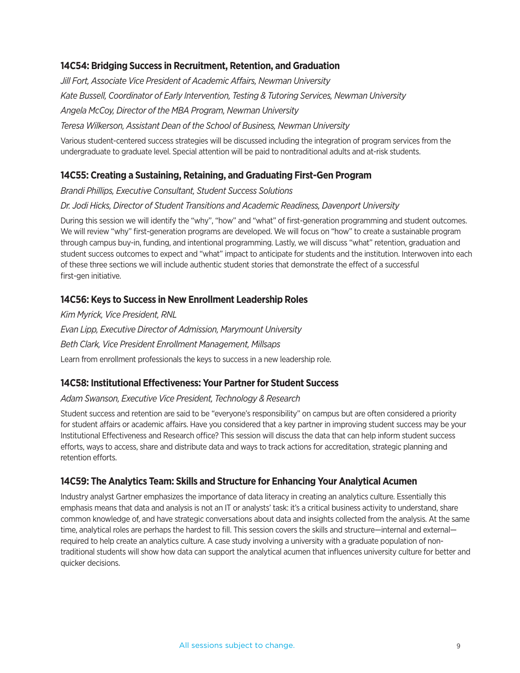# **14C54: Bridging Success in Recruitment, Retention, and Graduation**

*Jill Fort, Associate Vice President of Academic Affairs, Newman University Kate Bussell, Coordinator of Early Intervention, Testing & Tutoring Services, Newman University Angela McCoy, Director of the MBA Program, Newman University Teresa Wilkerson, Assistant Dean of the School of Business, Newman University*

Various student-centered success strategies will be discussed including the integration of program services from the undergraduate to graduate level. Special attention will be paid to nontraditional adults and at-risk students.

# **14C55: Creating a Sustaining, Retaining, and Graduating First-Gen Program**

*Brandi Phillips, Executive Consultant, Student Success Solutions*

#### *Dr. Jodi Hicks, Director of Student Transitions and Academic Readiness, Davenport University*

During this session we will identify the "why", "how" and "what" of first-generation programming and student outcomes. We will review "why" first-generation programs are developed. We will focus on "how" to create a sustainable program through campus buy-in, funding, and intentional programming. Lastly, we will discuss "what" retention, graduation and student success outcomes to expect and "what" impact to anticipate for students and the institution. Interwoven into each of these three sections we will include authentic student stories that demonstrate the effect of a successful first-gen initiative.

#### **14C56: Keys to Success in New Enrollment Leadership Roles**

*Kim Myrick, Vice President, RNL Evan Lipp, Executive Director of Admission, Marymount University Beth Clark, Vice President Enrollment Management, Millsaps* Learn from enrollment professionals the keys to success in a new leadership role.

# **14C58: Institutional Effectiveness: Your Partner for Student Success**

#### *Adam Swanson, Executive Vice President, Technology & Research*

Student success and retention are said to be "everyone's responsibility" on campus but are often considered a priority for student affairs or academic affairs. Have you considered that a key partner in improving student success may be your Institutional Effectiveness and Research office? This session will discuss the data that can help inform student success efforts, ways to access, share and distribute data and ways to track actions for accreditation, strategic planning and retention efforts.

# **14C59: The Analytics Team: Skills and Structure for Enhancing Your Analytical Acumen**

Industry analyst Gartner emphasizes the importance of data literacy in creating an analytics culture. Essentially this emphasis means that data and analysis is not an IT or analysts' task: it's a critical business activity to understand, share common knowledge of, and have strategic conversations about data and insights collected from the analysis. At the same time, analytical roles are perhaps the hardest to fill. This session covers the skills and structure—internal and external required to help create an analytics culture. A case study involving a university with a graduate population of nontraditional students will show how data can support the analytical acumen that influences university culture for better and quicker decisions.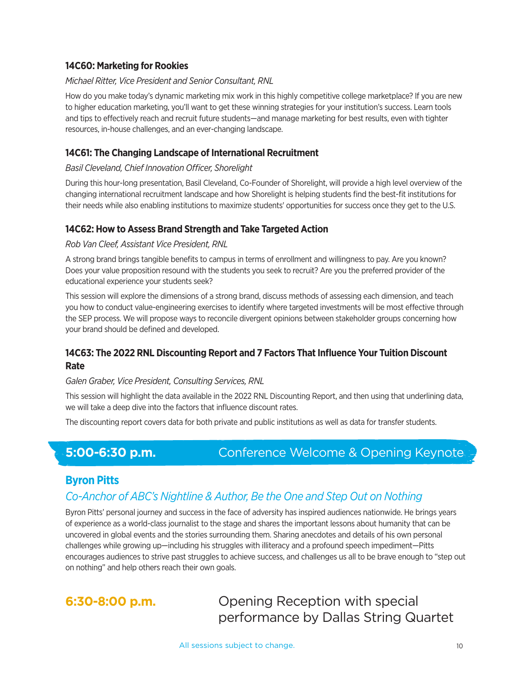# **14C60: Marketing for Rookies**

#### *Michael Ritter, Vice President and Senior Consultant, RNL*

How do you make today's dynamic marketing mix work in this highly competitive college marketplace? If you are new to higher education marketing, you'll want to get these winning strategies for your institution's success. Learn tools and tips to effectively reach and recruit future students—and manage marketing for best results, even with tighter resources, in-house challenges, and an ever-changing landscape.

#### **14C61: The Changing Landscape of International Recruitment**

#### *Basil Cleveland, Chief Innovation Officer, Shorelight*

During this hour-long presentation, Basil Cleveland, Co-Founder of Shorelight, will provide a high level overview of the changing international recruitment landscape and how Shorelight is helping students find the best-fit institutions for their needs while also enabling institutions to maximize students' opportunities for success once they get to the U.S.

#### **14C62: How to Assess Brand Strength and Take Targeted Action**

#### *Rob Van Cleef, Assistant Vice President, RNL*

A strong brand brings tangible benefits to campus in terms of enrollment and willingness to pay. Are you known? Does your value proposition resound with the students you seek to recruit? Are you the preferred provider of the educational experience your students seek?

This session will explore the dimensions of a strong brand, discuss methods of assessing each dimension, and teach you how to conduct value-engineering exercises to identify where targeted investments will be most effective through the SEP process. We will propose ways to reconcile divergent opinions between stakeholder groups concerning how your brand should be defined and developed.

# **14C63: The 2022 RNL Discounting Report and 7 Factors That Influence Your Tuition Discount Rate**

#### *Galen Graber, Vice President, Consulting Services, RNL*

This session will highlight the data available in the 2022 RNL Discounting Report, and then using that underlining data, we will take a deep dive into the factors that influence discount rates.

The discounting report covers data for both private and public institutions as well as data for transfer students.

# **5:00-6:30 p.m.** Conference Welcome & Opening Keynote

# **Byron Pitts**

# *Co-Anchor of ABC's Nightline & Author, Be the One and Step Out on Nothing*

Byron Pitts' personal journey and success in the face of adversity has inspired audiences nationwide. He brings years of experience as a world-class journalist to the stage and shares the important lessons about humanity that can be uncovered in global events and the stories surrounding them. Sharing anecdotes and details of his own personal challenges while growing up—including his struggles with illiteracy and a profound speech impediment—Pitts encourages audiences to strive past struggles to achieve success, and challenges us all to be brave enough to "step out on nothing" and help others reach their own goals.



**6:30-8:00 p.m. C** Opening Reception with special performance by Dallas String Quartet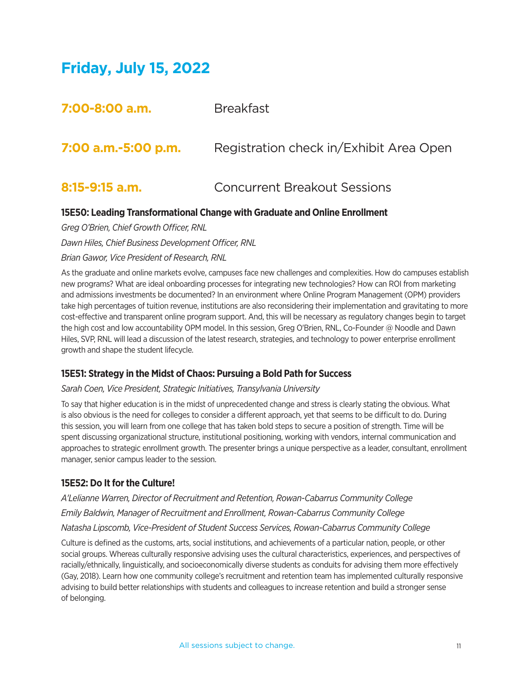# **Friday, July 15, 2022**

| 7:00-8:00 a.m.      | <b>Breakfast</b>                        |
|---------------------|-----------------------------------------|
| 7:00 a.m.-5:00 p.m. | Registration check in/Exhibit Area Open |
| 8:15-9:15 a.m.      | <b>Concurrent Breakout Sessions</b>     |

# **15E50: Leading Transformational Change with Graduate and Online Enrollment**

*Greg O'Brien, Chief Growth Officer, RNL Dawn Hiles, Chief Business Development Officer, RNL Brian Gawor, Vice President of Research, RNL*

As the graduate and online markets evolve, campuses face new challenges and complexities. How do campuses establish new programs? What are ideal onboarding processes for integrating new technologies? How can ROI from marketing and admissions investments be documented? In an environment where Online Program Management (OPM) providers take high percentages of tuition revenue, institutions are also reconsidering their implementation and gravitating to more cost-effective and transparent online program support. And, this will be necessary as regulatory changes begin to target the high cost and low accountability OPM model. In this session, Greg O'Brien, RNL, Co-Founder @ Noodle and Dawn Hiles, SVP, RNL will lead a discussion of the latest research, strategies, and technology to power enterprise enrollment growth and shape the student lifecycle.

# **15E51: Strategy in the Midst of Chaos: Pursuing a Bold Path for Success**

#### *Sarah Coen, Vice President, Strategic Initiatives, Transylvania University*

To say that higher education is in the midst of unprecedented change and stress is clearly stating the obvious. What is also obvious is the need for colleges to consider a different approach, yet that seems to be difficult to do. During this session, you will learn from one college that has taken bold steps to secure a position of strength. Time will be spent discussing organizational structure, institutional positioning, working with vendors, internal communication and approaches to strategic enrollment growth. The presenter brings a unique perspective as a leader, consultant, enrollment manager, senior campus leader to the session.

#### **15E52: Do It for the Culture!**

*A'Lelianne Warren, Director of Recruitment and Retention, Rowan-Cabarrus Community College Emily Baldwin, Manager of Recruitment and Enrollment, Rowan-Cabarrus Community College Natasha Lipscomb, Vice-President of Student Success Services, Rowan-Cabarrus Community College* 

Culture is defined as the customs, arts, social institutions, and achievements of a particular nation, people, or other social groups. Whereas culturally responsive advising uses the cultural characteristics, experiences, and perspectives of racially/ethnically, linguistically, and socioeconomically diverse students as conduits for advising them more effectively (Gay, 2018). Learn how one community college's recruitment and retention team has implemented culturally responsive advising to build better relationships with students and colleagues to increase retention and build a stronger sense of belonging.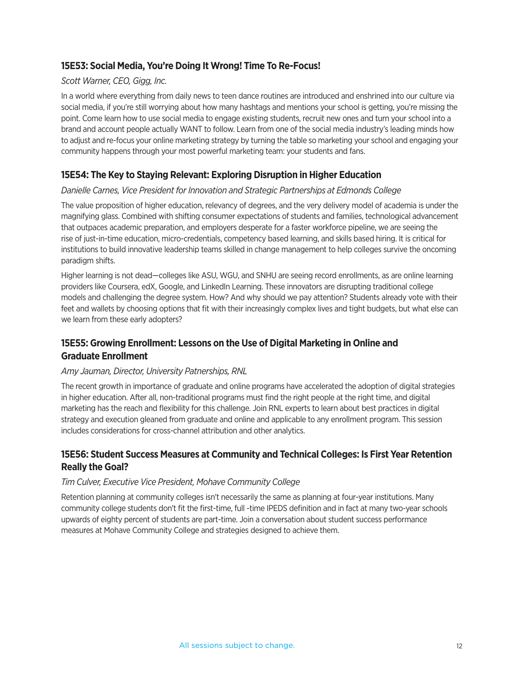# **15E53: Social Media, You're Doing It Wrong! Time To Re-Focus!**

#### *Scott Warner, CEO, Gigg, Inc.*

In a world where everything from daily news to teen dance routines are introduced and enshrined into our culture via social media, if you're still worrying about how many hashtags and mentions your school is getting, you're missing the point. Come learn how to use social media to engage existing students, recruit new ones and turn your school into a brand and account people actually WANT to follow. Learn from one of the social media industry's leading minds how to adjust and re-focus your online marketing strategy by turning the table so marketing your school and engaging your community happens through your most powerful marketing team: your students and fans.

# **15E54: The Key to Staying Relevant: Exploring Disruption in Higher Education**

#### *Danielle Carnes, Vice President for Innovation and Strategic Partnerships at Edmonds College*

The value proposition of higher education, relevancy of degrees, and the very delivery model of academia is under the magnifying glass. Combined with shifting consumer expectations of students and families, technological advancement that outpaces academic preparation, and employers desperate for a faster workforce pipeline, we are seeing the rise of just-in-time education, micro-credentials, competency based learning, and skills based hiring. It is critical for institutions to build innovative leadership teams skilled in change management to help colleges survive the oncoming paradigm shifts.

Higher learning is not dead—colleges like ASU, WGU, and SNHU are seeing record enrollments, as are online learning providers like Coursera, edX, Google, and LinkedIn Learning. These innovators are disrupting traditional college models and challenging the degree system. How? And why should we pay attention? Students already vote with their feet and wallets by choosing options that fit with their increasingly complex lives and tight budgets, but what else can we learn from these early adopters?

# **15E55: Growing Enrollment: Lessons on the Use of Digital Marketing in Online and Graduate Enrollment**

#### *Amy Jauman, Director, University Patnerships, RNL*

The recent growth in importance of graduate and online programs have accelerated the adoption of digital strategies in higher education. After all, non-traditional programs must find the right people at the right time, and digital marketing has the reach and flexibility for this challenge. Join RNL experts to learn about best practices in digital strategy and execution gleaned from graduate and online and applicable to any enrollment program. This session includes considerations for cross-channel attribution and other analytics.

# **15E56: Student Success Measures at Community and Technical Colleges: Is First Year Retention Really the Goal?**

#### *Tim Culver, Executive Vice President, Mohave Community College*

Retention planning at community colleges isn't necessarily the same as planning at four-year institutions. Many community college students don't fit the first-time, full -time IPEDS definition and in fact at many two-year schools upwards of eighty percent of students are part-time. Join a conversation about student success performance measures at Mohave Community College and strategies designed to achieve them.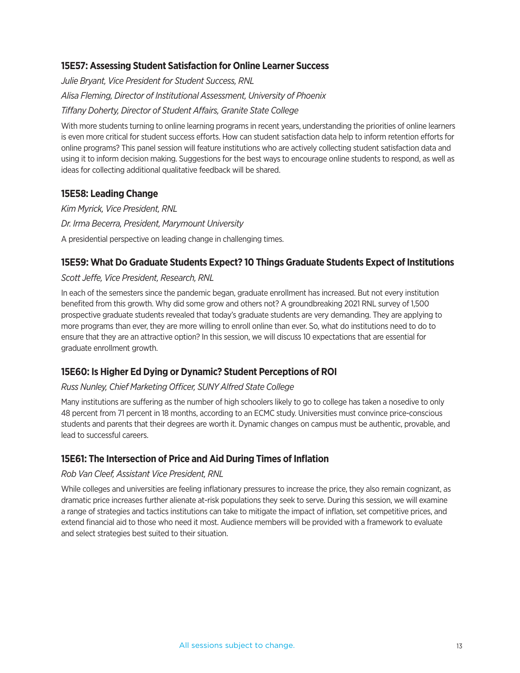# **15E57: Assessing Student Satisfaction for Online Learner Success**

*Julie Bryant, Vice President for Student Success, RNL Alisa Fleming, Director of Institutional Assessment, University of Phoenix Tiffany Doherty, Director of Student Affairs, Granite State College*

With more students turning to online learning programs in recent years, understanding the priorities of online learners is even more critical for student success efforts. How can student satisfaction data help to inform retention efforts for online programs? This panel session will feature institutions who are actively collecting student satisfaction data and using it to inform decision making. Suggestions for the best ways to encourage online students to respond, as well as ideas for collecting additional qualitative feedback will be shared.

# **15E58: Leading Change**

*Kim Myrick, Vice President, RNL Dr. Irma Becerra, President, Marymount University* A presidential perspective on leading change in challenging times.

# **15E59: What Do Graduate Students Expect? 10 Things Graduate Students Expect of Institutions**

#### *Scott Jeffe, Vice President, Research, RNL*

In each of the semesters since the pandemic began, graduate enrollment has increased. But not every institution benefited from this growth. Why did some grow and others not? A groundbreaking 2021 RNL survey of 1,500 prospective graduate students revealed that today's graduate students are very demanding. They are applying to more programs than ever, they are more willing to enroll online than ever. So, what do institutions need to do to ensure that they are an attractive option? In this session, we will discuss 10 expectations that are essential for graduate enrollment growth.

# **15E60: Is Higher Ed Dying or Dynamic? Student Perceptions of ROI**

#### *Russ Nunley, Chief Marketing Officer, SUNY Alfred State College*

Many institutions are suffering as the number of high schoolers likely to go to college has taken a nosedive to only 48 percent from 71 percent in 18 months, according to an ECMC study. Universities must convince price-conscious students and parents that their degrees are worth it. Dynamic changes on campus must be authentic, provable, and lead to successful careers.

#### **15E61: The Intersection of Price and Aid During Times of Inflation**

#### *Rob Van Cleef, Assistant Vice President, RNL*

While colleges and universities are feeling inflationary pressures to increase the price, they also remain cognizant, as dramatic price increases further alienate at-risk populations they seek to serve. During this session, we will examine a range of strategies and tactics institutions can take to mitigate the impact of inflation, set competitive prices, and extend financial aid to those who need it most. Audience members will be provided with a framework to evaluate and select strategies best suited to their situation.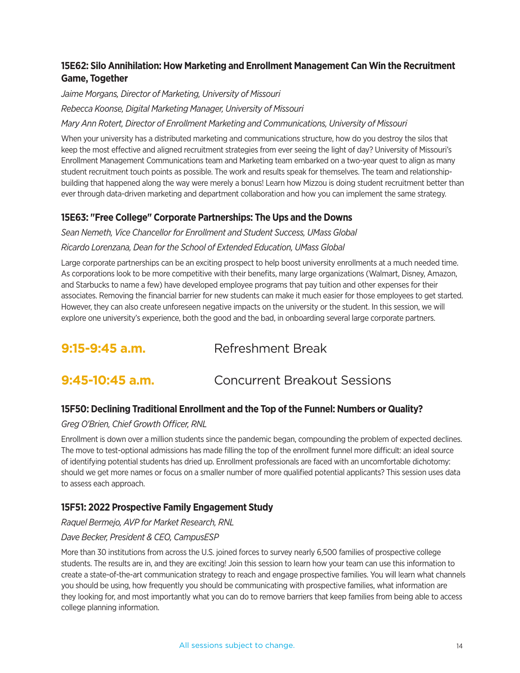# **15E62: Silo Annihilation: How Marketing and Enrollment Management Can Win the Recruitment Game, Together**

*Jaime Morgans, Director of Marketing, University of Missouri Rebecca Koonse, Digital Marketing Manager, University of Missouri*

#### *Mary Ann Rotert, Director of Enrollment Marketing and Communications, University of Missouri*

When your university has a distributed marketing and communications structure, how do you destroy the silos that keep the most effective and aligned recruitment strategies from ever seeing the light of day? University of Missouri's Enrollment Management Communications team and Marketing team embarked on a two-year quest to align as many student recruitment touch points as possible. The work and results speak for themselves. The team and relationshipbuilding that happened along the way were merely a bonus! Learn how Mizzou is doing student recruitment better than ever through data-driven marketing and department collaboration and how you can implement the same strategy.

# **15E63: "Free College" Corporate Partnerships: The Ups and the Downs**

*Sean Nemeth, Vice Chancellor for Enrollment and Student Success, UMass Global Ricardo Lorenzana, Dean for the School of Extended Education, UMass Global*

Large corporate partnerships can be an exciting prospect to help boost university enrollments at a much needed time. As corporations look to be more competitive with their benefits, many large organizations (Walmart, Disney, Amazon, and Starbucks to name a few) have developed employee programs that pay tuition and other expenses for their associates. Removing the financial barrier for new students can make it much easier for those employees to get started. However, they can also create unforeseen negative impacts on the university or the student. In this session, we will explore one university's experience, both the good and the bad, in onboarding several large corporate partners.

**9:15-9:45 a.m.** Refreshment Break

# **9:45-10:45 a.m. Concurrent Breakout Sessions**

# **15F50: Declining Traditional Enrollment and the Top of the Funnel: Numbers or Quality?**

# *Greg O'Brien, Chief Growth Officer, RNL*

Enrollment is down over a million students since the pandemic began, compounding the problem of expected declines. The move to test-optional admissions has made filling the top of the enrollment funnel more difficult: an ideal source of identifying potential students has dried up. Enrollment professionals are faced with an uncomfortable dichotomy: should we get more names or focus on a smaller number of more qualified potential applicants? This session uses data to assess each approach.

# **15F51: 2022 Prospective Family Engagement Study**

#### *Raquel Bermejo, AVP for Market Research, RNL*

# *Dave Becker, President & CEO, CampusESP*

More than 30 institutions from across the U.S. joined forces to survey nearly 6,500 families of prospective college students. The results are in, and they are exciting! Join this session to learn how your team can use this information to create a state-of-the-art communication strategy to reach and engage prospective families. You will learn what channels you should be using, how frequently you should be communicating with prospective families, what information are they looking for, and most importantly what you can do to remove barriers that keep families from being able to access college planning information.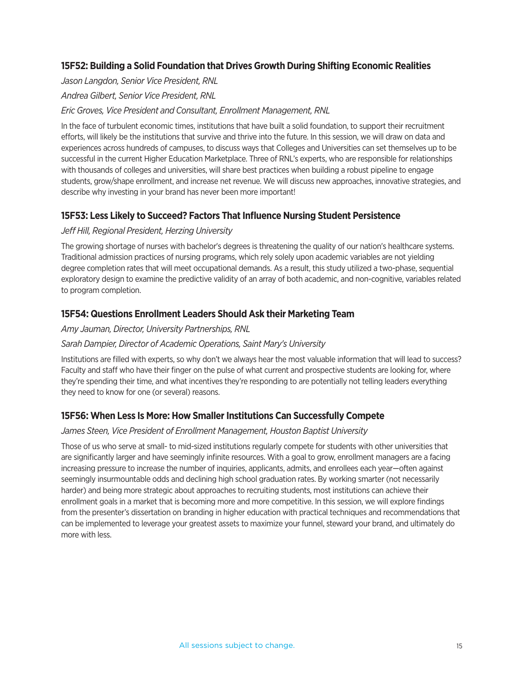# **15F52: Building a Solid Foundation that Drives Growth During Shifting Economic Realities**

*Jason Langdon, Senior Vice President, RNL Andrea Gilbert, Senior Vice President, RNL Eric Groves, Vice President and Consultant, Enrollment Management, RNL*

In the face of turbulent economic times, institutions that have built a solid foundation, to support their recruitment efforts, will likely be the institutions that survive and thrive into the future. In this session, we will draw on data and experiences across hundreds of campuses, to discuss ways that Colleges and Universities can set themselves up to be successful in the current Higher Education Marketplace. Three of RNL's experts, who are responsible for relationships with thousands of colleges and universities, will share best practices when building a robust pipeline to engage students, grow/shape enrollment, and increase net revenue. We will discuss new approaches, innovative strategies, and describe why investing in your brand has never been more important!

# **15F53: Less Likely to Succeed? Factors That Influence Nursing Student Persistence**

#### *Jeff Hill, Regional President, Herzing University*

The growing shortage of nurses with bachelor's degrees is threatening the quality of our nation's healthcare systems. Traditional admission practices of nursing programs, which rely solely upon academic variables are not yielding degree completion rates that will meet occupational demands. As a result, this study utilized a two-phase, sequential exploratory design to examine the predictive validity of an array of both academic, and non-cognitive, variables related to program completion.

# **15F54: Questions Enrollment Leaders Should Ask their Marketing Team**

*Amy Jauman, Director, University Partnerships, RNL*

#### *Sarah Dampier, Director of Academic Operations, Saint Mary's University*

Institutions are filled with experts, so why don't we always hear the most valuable information that will lead to success? Faculty and staff who have their finger on the pulse of what current and prospective students are looking for, where they're spending their time, and what incentives they're responding to are potentially not telling leaders everything they need to know for one (or several) reasons.

# **15F56: When Less Is More: How Smaller Institutions Can Successfully Compete**

#### *James Steen, Vice President of Enrollment Management, Houston Baptist University*

Those of us who serve at small- to mid-sized institutions regularly compete for students with other universities that are significantly larger and have seemingly infinite resources. With a goal to grow, enrollment managers are a facing increasing pressure to increase the number of inquiries, applicants, admits, and enrollees each year—often against seemingly insurmountable odds and declining high school graduation rates. By working smarter (not necessarily harder) and being more strategic about approaches to recruiting students, most institutions can achieve their enrollment goals in a market that is becoming more and more competitive. In this session, we will explore findings from the presenter's dissertation on branding in higher education with practical techniques and recommendations that can be implemented to leverage your greatest assets to maximize your funnel, steward your brand, and ultimately do more with less.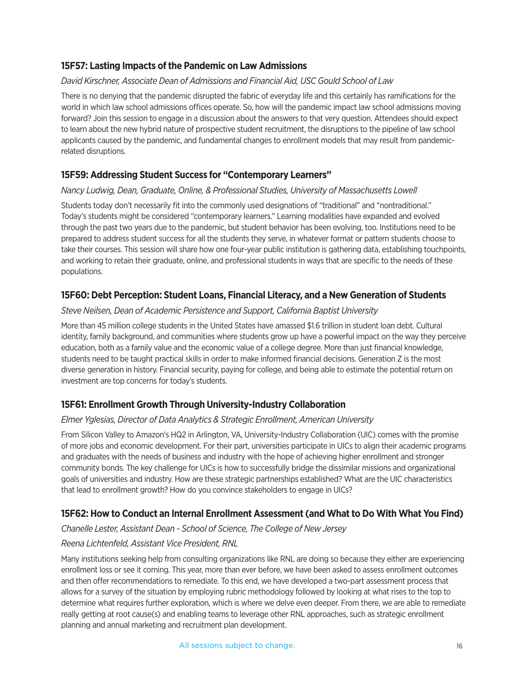# **15F57: Lasting Impacts of the Pandemic on Law Admissions**

#### *David Kirschner, Associate Dean of Admissions and Financial Aid, USC Gould School of Law*

There is no denying that the pandemic disrupted the fabric of everyday life and this certainly has ramifications for the world in which law school admissions offices operate. So, how will the pandemic impact law school admissions moving forward? Join this session to engage in a discussion about the answers to that very question. Attendees should expect to learn about the new hybrid nature of prospective student recruitment, the disruptions to the pipeline of law school applicants caused by the pandemic, and fundamental changes to enrollment models that may result from pandemicrelated disruptions.

# **15F59: Addressing Student Success for "Contemporary Learners"**

#### *Nancy Ludwig, Dean, Graduate, Online, & Professional Studies, University of Massachusetts Lowell*

Students today don't necessarily fit into the commonly used designations of "traditional" and "nontraditional." Today's students might be considered "contemporary learners." Learning modalities have expanded and evolved through the past two years due to the pandemic, but student behavior has been evolving, too. Institutions need to be prepared to address student success for all the students they serve, in whatever format or pattern students choose to take their courses. This session will share how one four-year public institution is gathering data, establishing touchpoints, and working to retain their graduate, online, and professional students in ways that are specific to the needs of these populations.

# **15F60: Debt Perception: Student Loans, Financial Literacy, and a New Generation of Students**

#### *Steve Neilsen, Dean of Academic Persistence and Support, California Baptist University*

More than 45 million college students in the United States have amassed \$1.6 trillion in student loan debt. Cultural identity, family background, and communities where students grow up have a powerful impact on the way they perceive education, both as a family value and the economic value of a college degree. More than just financial knowledge, students need to be taught practical skills in order to make informed financial decisions. Generation Z is the most diverse generation in history. Financial security, paying for college, and being able to estimate the potential return on investment are top concerns for today's students.

# **15F61: Enrollment Growth Through University-Industry Collaboration**

#### *Elmer Yglesias, Director of Data Analytics & Strategic Enrollment, American University*

From Silicon Valley to Amazon's HQ2 in Arlington, VA, University-Industry Collaboration (UIC) comes with the promise of more jobs and economic development. For their part, universities participate in UICs to align their academic programs and graduates with the needs of business and industry with the hope of achieving higher enrollment and stronger community bonds. The key challenge for UICs is how to successfully bridge the dissimilar missions and organizational goals of universities and industry. How are these strategic partnerships established? What are the UIC characteristics that lead to enrollment growth? How do you convince stakeholders to engage in UICs?

# **15F62: How to Conduct an Internal Enrollment Assessment (and What to Do With What You Find)**

*Chanelle Lester, Assistant Dean - School of Science, The College of New Jersey*

# *Reena Lichtenfeld, Assistant Vice President, RNL*

Many institutions seeking help from consulting organizations like RNL are doing so because they either are experiencing enrollment loss or see it coming. This year, more than ever before, we have been asked to assess enrollment outcomes and then offer recommendations to remediate. To this end, we have developed a two-part assessment process that allows for a survey of the situation by employing rubric methodology followed by looking at what rises to the top to determine what requires further exploration, which is where we delve even deeper. From there, we are able to remediate really getting at root cause(s) and enabling teams to leverage other RNL approaches, such as strategic enrollment planning and annual marketing and recruitment plan development.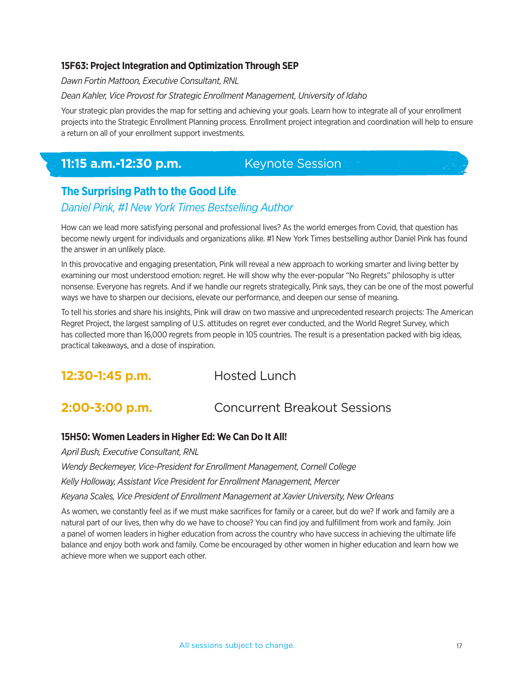# **15F63: Project Integration and Optimization Through SEP**

*Dawn Fortin Mattoon, Executive Consultant, RNL*

#### *Dean Kahler, Vice Provost for Strategic Enrollment Management, University of Idaho*

Your strategic plan provides the map for setting and achieving your goals. Learn how to integrate all of your enrollment projects into the Strategic Enrollment Planning process. Enrollment project integration and coordination will help to ensure a return on all of your enrollment support investments.

# **11:15 a.m.-12:30 p.m. Keynote Session**

# **The Surprising Path to the Good Life**

# *Daniel Pink, #1 New York Times Bestselling Author*

How can we lead more satisfying personal and professional lives? As the world emerges from Covid, that question has become newly urgent for individuals and organizations alike. #1 New York Times bestselling author Daniel Pink has found the answer in an unlikely place.

In this provocative and engaging presentation, Pink will reveal a new approach to working smarter and living better by examining our most understood emotion: regret. He will show why the ever-popular "No Regrets" philosophy is utter nonsense. Everyone has regrets. And if we handle our regrets strategically, Pink says, they can be one of the most powerful ways we have to sharpen our decisions, elevate our performance, and deepen our sense of meaning.

To tell his stories and share his insights, Pink will draw on two massive and unprecedented research projects: The American Regret Project, the largest sampling of U.S. attitudes on regret ever conducted, and the World Regret Survey, which has collected more than 16,000 regrets from people in 105 countries. The result is a presentation packed with big ideas, practical takeaways, and a dose of inspiration.

**12:30-1:45 p.m.** Hosted Lunch

# **2:00-3:00 p.m.** Concurrent Breakout Sessions

#### **15H50: Women Leaders in Higher Ed: We Can Do It All!**

*April Bush, Executive Consultant, RNL*

*Wendy Beckemeyer, Vice-President for Enrollment Management, Cornell College*

*Kelly Holloway, Assistant Vice President for Enrollment Management, Mercer* 

*Keyana Scales, Vice President of Enrollment Management at Xavier University, New Orleans*

As women, we constantly feel as if we must make sacrifices for family or a career, but do we? If work and family are a natural part of our lives, then why do we have to choose? You can find joy and fulfillment from work and family. Join a panel of women leaders in higher education from across the country who have success in achieving the ultimate life balance and enjoy both work and family. Come be encouraged by other women in higher education and learn how we achieve more when we support each other.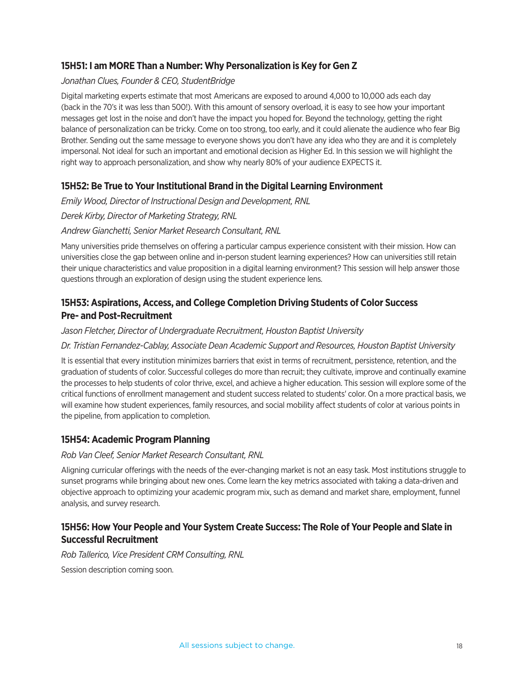# **15H51: I am MORE Than a Number: Why Personalization is Key for Gen Z**

#### *Jonathan Clues, Founder & CEO, StudentBridge*

Digital marketing experts estimate that most Americans are exposed to around 4,000 to 10,000 ads each day (back in the 70's it was less than 500!). With this amount of sensory overload, it is easy to see how your important messages get lost in the noise and don't have the impact you hoped for. Beyond the technology, getting the right balance of personalization can be tricky. Come on too strong, too early, and it could alienate the audience who fear Big Brother. Sending out the same message to everyone shows you don't have any idea who they are and it is completely impersonal. Not ideal for such an important and emotional decision as Higher Ed. In this session we will highlight the right way to approach personalization, and show why nearly 80% of your audience EXPECTS it.

# **15H52: Be True to Your Institutional Brand in the Digital Learning Environment**

*Emily Wood, Director of Instructional Design and Development, RNL Derek Kirby, Director of Marketing Strategy, RNL Andrew Gianchetti, Senior Market Research Consultant, RNL*

Many universities pride themselves on offering a particular campus experience consistent with their mission. How can universities close the gap between online and in-person student learning experiences? How can universities still retain their unique characteristics and value proposition in a digital learning environment? This session will help answer those questions through an exploration of design using the student experience lens.

# **15H53: Aspirations, Access, and College Completion Driving Students of Color Success Pre- and Post-Recruitment**

#### *Jason Fletcher, Director of Undergraduate Recruitment, Houston Baptist University*

# *Dr. Tristian Fernandez-Cablay, Associate Dean Academic Support and Resources, Houston Baptist University*

It is essential that every institution minimizes barriers that exist in terms of recruitment, persistence, retention, and the graduation of students of color. Successful colleges do more than recruit; they cultivate, improve and continually examine the processes to help students of color thrive, excel, and achieve a higher education. This session will explore some of the critical functions of enrollment management and student success related to students' color. On a more practical basis, we will examine how student experiences, family resources, and social mobility affect students of color at various points in the pipeline, from application to completion.

# **15H54: Academic Program Planning**

#### *Rob Van Cleef, Senior Market Research Consultant, RNL*

Aligning curricular offerings with the needs of the ever-changing market is not an easy task. Most institutions struggle to sunset programs while bringing about new ones. Come learn the key metrics associated with taking a data-driven and objective approach to optimizing your academic program mix, such as demand and market share, employment, funnel analysis, and survey research.

# **15H56: How Your People and Your System Create Success: The Role of Your People and Slate in Successful Recruitment**

*Rob Tallerico, Vice President CRM Consulting, RNL*

Session description coming soon.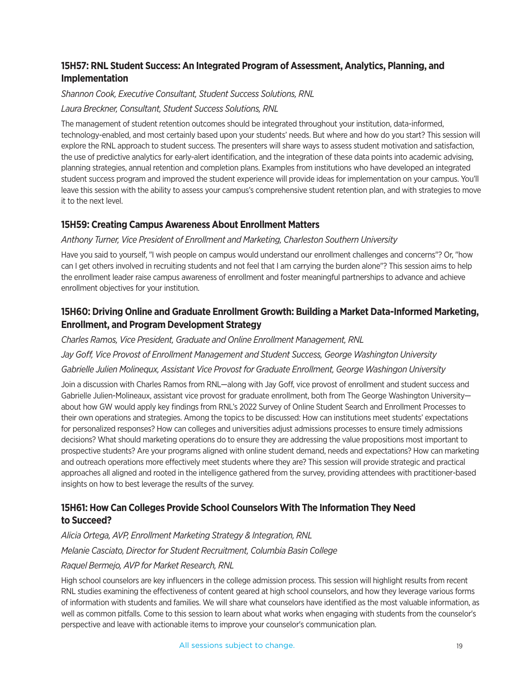# **15H57: RNL Student Success: An Integrated Program of Assessment, Analytics, Planning, and Implementation**

# *Shannon Cook, Executive Consultant, Student Success Solutions, RNL*

# *Laura Breckner, Consultant, Student Success Solutions, RNL*

The management of student retention outcomes should be integrated throughout your institution, data-informed, technology-enabled, and most certainly based upon your students' needs. But where and how do you start? This session will explore the RNL approach to student success. The presenters will share ways to assess student motivation and satisfaction, the use of predictive analytics for early-alert identification, and the integration of these data points into academic advising, planning strategies, annual retention and completion plans. Examples from institutions who have developed an integrated student success program and improved the student experience will provide ideas for implementation on your campus. You'll leave this session with the ability to assess your campus's comprehensive student retention plan, and with strategies to move it to the next level.

# **15H59: Creating Campus Awareness About Enrollment Matters**

# *Anthony Turner, Vice President of Enrollment and Marketing, Charleston Southern University*

Have you said to yourself, "I wish people on campus would understand our enrollment challenges and concerns"? Or, "how can I get others involved in recruiting students and not feel that I am carrying the burden alone"? This session aims to help the enrollment leader raise campus awareness of enrollment and foster meaningful partnerships to advance and achieve enrollment objectives for your institution.

# **15H60: Driving Online and Graduate Enrollment Growth: Building a Market Data-Informed Marketing, Enrollment, and Program Development Strategy**

*Charles Ramos, Vice President, Graduate and Online Enrollment Management, RNL*

*Jay Goff, Vice Provost of Enrollment Management and Student Success, George Washington University*

# *Gabrielle Julien Molinequx, Assistant Vice Provost for Graduate Enrollment, George Washingon University*

Join a discussion with Charles Ramos from RNL—along with Jay Goff, vice provost of enrollment and student success and Gabrielle Julien-Molineaux, assistant vice provost for graduate enrollment, both from The George Washington University about how GW would apply key findings from RNL's 2022 Survey of Online Student Search and Enrollment Processes to their own operations and strategies. Among the topics to be discussed: How can institutions meet students' expectations for personalized responses? How can colleges and universities adjust admissions processes to ensure timely admissions decisions? What should marketing operations do to ensure they are addressing the value propositions most important to prospective students? Are your programs aligned with online student demand, needs and expectations? How can marketing and outreach operations more effectively meet students where they are? This session will provide strategic and practical approaches all aligned and rooted in the intelligence gathered from the survey, providing attendees with practitioner-based insights on how to best leverage the results of the survey.

# **15H61: How Can Colleges Provide School Counselors With The Information They Need to Succeed?**

*Alicia Ortega, AVP, Enrollment Marketing Strategy & Integration, RNL*

# *Melanie Casciato, Director for Student Recruitment, Columbia Basin College*

# *Raquel Bermejo, AVP for Market Research, RNL*

High school counselors are key influencers in the college admission process. This session will highlight results from recent RNL studies examining the effectiveness of content geared at high school counselors, and how they leverage various forms of information with students and families. We will share what counselors have identified as the most valuable information, as well as common pitfalls. Come to this session to learn about what works when engaging with students from the counselor's perspective and leave with actionable items to improve your counselor's communication plan.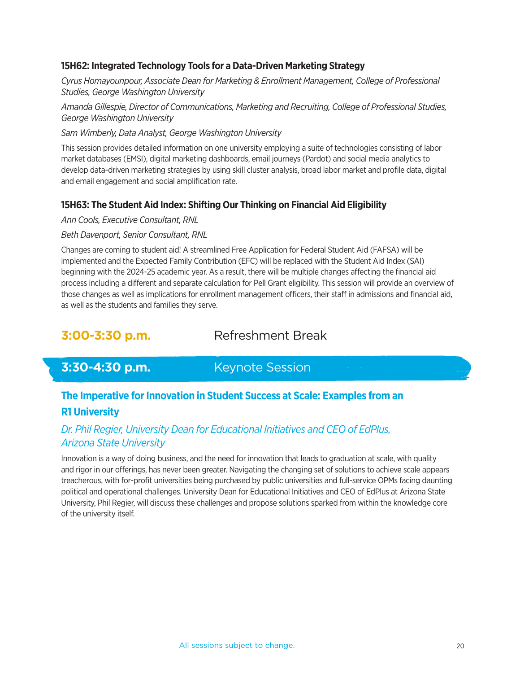# **15H62: Integrated Technology Tools for a Data-Driven Marketing Strategy**

*Cyrus Homayounpour, Associate Dean for Marketing & Enrollment Management, College of Professional Studies, George Washington University*

*Amanda Gillespie, Director of Communications, Marketing and Recruiting, College of Professional Studies, George Washington University*

#### *Sam Wimberly, Data Analyst, George Washington University*

This session provides detailed information on one university employing a suite of technologies consisting of labor market databases (EMSI), digital marketing dashboards, email journeys (Pardot) and social media analytics to develop data-driven marketing strategies by using skill cluster analysis, broad labor market and profile data, digital and email engagement and social amplification rate.

# **15H63: The Student Aid Index: Shifting Our Thinking on Financial Aid Eligibility**

#### *Ann Cools, Executive Consultant, RNL*

#### *Beth Davenport, Senior Consultant, RNL*

Changes are coming to student aid! A streamlined Free Application for Federal Student Aid (FAFSA) will be implemented and the Expected Family Contribution (EFC) will be replaced with the Student Aid Index (SAI) beginning with the 2024-25 academic year. As a result, there will be multiple changes affecting the financial aid process including a different and separate calculation for Pell Grant eligibility. This session will provide an overview of those changes as well as implications for enrollment management officers, their staff in admissions and financial aid, as well as the students and families they serve.

# **3:00-3:30 p.m.** Refreshment Break

# **3:30-4:30 p.m. Keynote Session**

# **The Imperative for Innovation in Student Success at Scale: Examples from an R1 University**

# *Dr. Phil Regier, University Dean for Educational Initiatives and CEO of EdPlus, Arizona State University*

Innovation is a way of doing business, and the need for innovation that leads to graduation at scale, with quality and rigor in our offerings, has never been greater. Navigating the changing set of solutions to achieve scale appears treacherous, with for-profit universities being purchased by public universities and full-service OPMs facing daunting political and operational challenges. University Dean for Educational Initiatives and CEO of EdPlus at Arizona State University, Phil Regier, will discuss these challenges and propose solutions sparked from within the knowledge core of the university itself.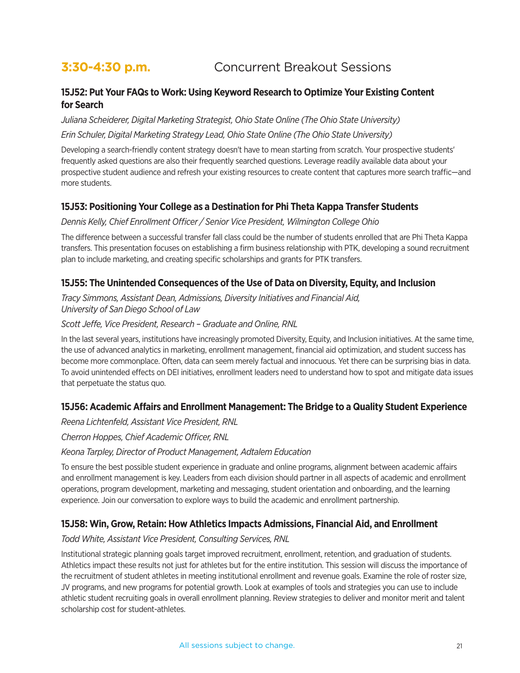# **3:30-4:30 p.m. Concurrent Breakout Sessions**

# **15J52: Put Your FAQs to Work: Using Keyword Research to Optimize Your Existing Content for Search**

*Juliana Scheiderer, Digital Marketing Strategist, Ohio State Online (The Ohio State University)*

#### *Erin Schuler, Digital Marketing Strategy Lead, Ohio State Online (The Ohio State University)*

Developing a search-friendly content strategy doesn't have to mean starting from scratch. Your prospective students' frequently asked questions are also their frequently searched questions. Leverage readily available data about your prospective student audience and refresh your existing resources to create content that captures more search traffic—and more students.

# **15J53: Positioning Your College as a Destination for Phi Theta Kappa Transfer Students**

#### *Dennis Kelly, Chief Enrollment Officer / Senior Vice President, Wilmington College Ohio*

The difference between a successful transfer fall class could be the number of students enrolled that are Phi Theta Kappa transfers. This presentation focuses on establishing a firm business relationship with PTK, developing a sound recruitment plan to include marketing, and creating specific scholarships and grants for PTK transfers.

# **15J55: The Unintended Consequences of the Use of Data on Diversity, Equity, and Inclusion**

*Tracy Simmons, Assistant Dean, Admissions, Diversity Initiatives and Financial Aid, University of San Diego School of Law*

#### *Scott Jeffe, Vice President, Research – Graduate and Online, RNL*

In the last several years, institutions have increasingly promoted Diversity, Equity, and Inclusion initiatives. At the same time, the use of advanced analytics in marketing, enrollment management, financial aid optimization, and student success has become more commonplace. Often, data can seem merely factual and innocuous. Yet there can be surprising bias in data. To avoid unintended effects on DEI initiatives, enrollment leaders need to understand how to spot and mitigate data issues that perpetuate the status quo.

# **15J56: Academic Affairs and Enrollment Management: The Bridge to a Quality Student Experience**

*Reena Lichtenfeld, Assistant Vice President, RNL*

*Cherron Hoppes, Chief Academic Officer, RNL*

*Keona Tarpley, Director of Product Management, Adtalem Education*

To ensure the best possible student experience in graduate and online programs, alignment between academic affairs and enrollment management is key. Leaders from each division should partner in all aspects of academic and enrollment operations, program development, marketing and messaging, student orientation and onboarding, and the learning experience. Join our conversation to explore ways to build the academic and enrollment partnership.

# **15J58: Win, Grow, Retain: How Athletics Impacts Admissions, Financial Aid, and Enrollment**

# *Todd White, Assistant Vice President, Consulting Services, RNL*

Institutional strategic planning goals target improved recruitment, enrollment, retention, and graduation of students. Athletics impact these results not just for athletes but for the entire institution. This session will discuss the importance of the recruitment of student athletes in meeting institutional enrollment and revenue goals. Examine the role of roster size, JV programs, and new programs for potential growth. Look at examples of tools and strategies you can use to include athletic student recruiting goals in overall enrollment planning. Review strategies to deliver and monitor merit and talent scholarship cost for student-athletes.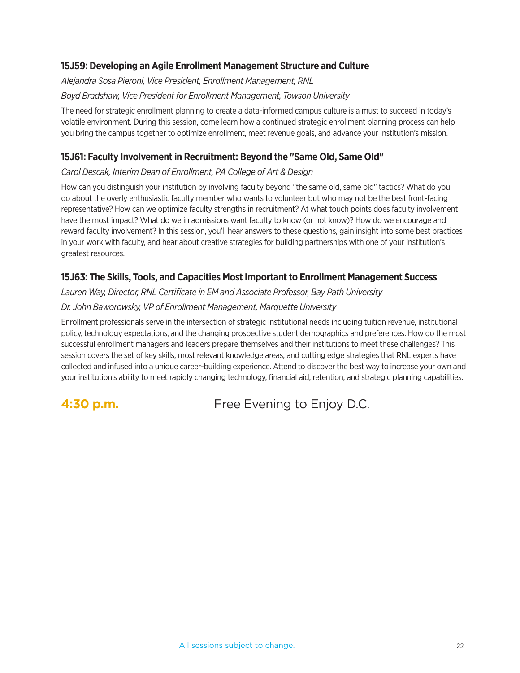# **15J59: Developing an Agile Enrollment Management Structure and Culture**

*Alejandra Sosa Pieroni, Vice President, Enrollment Management, RNL Boyd Bradshaw, Vice President for Enrollment Management, Towson University*

The need for strategic enrollment planning to create a data-informed campus culture is a must to succeed in today's volatile environment. During this session, come learn how a continued strategic enrollment planning process can help you bring the campus together to optimize enrollment, meet revenue goals, and advance your institution's mission.

# **15J61: Faculty Involvement in Recruitment: Beyond the "Same Old, Same Old"**

#### *Carol Descak, Interim Dean of Enrollment, PA College of Art & Design*

How can you distinguish your institution by involving faculty beyond "the same old, same old" tactics? What do you do about the overly enthusiastic faculty member who wants to volunteer but who may not be the best front-facing representative? How can we optimize faculty strengths in recruitment? At what touch points does faculty involvement have the most impact? What do we in admissions want faculty to know (or not know)? How do we encourage and reward faculty involvement? In this session, you'll hear answers to these questions, gain insight into some best practices in your work with faculty, and hear about creative strategies for building partnerships with one of your institution's greatest resources.

# **15J63: The Skills, Tools, and Capacities Most Important to Enrollment Management Success**

*Lauren Way, Director, RNL Certificate in EM and Associate Professor, Bay Path University*

#### *Dr. John Baworowsky, VP of Enrollment Management, Marquette University*

Enrollment professionals serve in the intersection of strategic institutional needs including tuition revenue, institutional policy, technology expectations, and the changing prospective student demographics and preferences. How do the most successful enrollment managers and leaders prepare themselves and their institutions to meet these challenges? This session covers the set of key skills, most relevant knowledge areas, and cutting edge strategies that RNL experts have collected and infused into a unique career-building experience. Attend to discover the best way to increase your own and your institution's ability to meet rapidly changing technology, financial aid, retention, and strategic planning capabilities.

**4:30 p.m. Free Evening to Enjoy D.C.**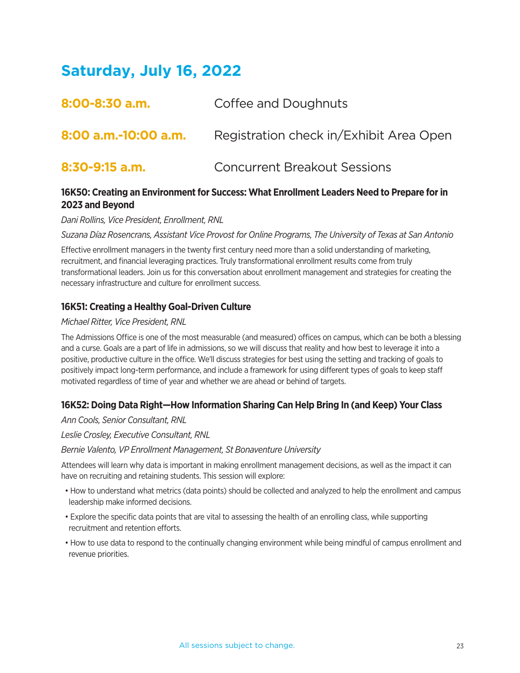# **Saturday, July 16, 2022**

| 8:00-8:30 a.m.       | Coffee and Doughnuts                    |
|----------------------|-----------------------------------------|
| 8:00 a.m.-10:00 a.m. | Registration check in/Exhibit Area Open |
| $8:30-9:15$ a.m.     | <b>Concurrent Breakout Sessions</b>     |

# **16K50: Creating an Environment for Success: What Enrollment Leaders Need to Prepare for in 2023 and Beyond**

*Dani Rollins, Vice President, Enrollment, RNL*

*Suzana Díaz Rosencrans, Assistant Vice Provost for Online Programs, The University of Texas at San Antonio*

Effective enrollment managers in the twenty first century need more than a solid understanding of marketing, recruitment, and financial leveraging practices. Truly transformational enrollment results come from truly transformational leaders. Join us for this conversation about enrollment management and strategies for creating the necessary infrastructure and culture for enrollment success.

# **16K51: Creating a Healthy Goal-Driven Culture**

#### *Michael Ritter, Vice President, RNL*

The Admissions Office is one of the most measurable (and measured) offices on campus, which can be both a blessing and a curse. Goals are a part of life in admissions, so we will discuss that reality and how best to leverage it into a positive, productive culture in the office. We'll discuss strategies for best using the setting and tracking of goals to positively impact long-term performance, and include a framework for using different types of goals to keep staff motivated regardless of time of year and whether we are ahead or behind of targets.

# **16K52: Doing Data Right—How Information Sharing Can Help Bring In (and Keep) Your Class**

*Ann Cools, Senior Consultant, RNL*

*Leslie Crosley, Executive Consultant, RNL*

*Bernie Valento, VP Enrollment Management, St Bonaventure University*

Attendees will learn why data is important in making enrollment management decisions, as well as the impact it can have on recruiting and retaining students. This session will explore:

- How to understand what metrics (data points) should be collected and analyzed to help the enrollment and campus leadership make informed decisions.
- Explore the specific data points that are vital to assessing the health of an enrolling class, while supporting recruitment and retention efforts.
- How to use data to respond to the continually changing environment while being mindful of campus enrollment and revenue priorities.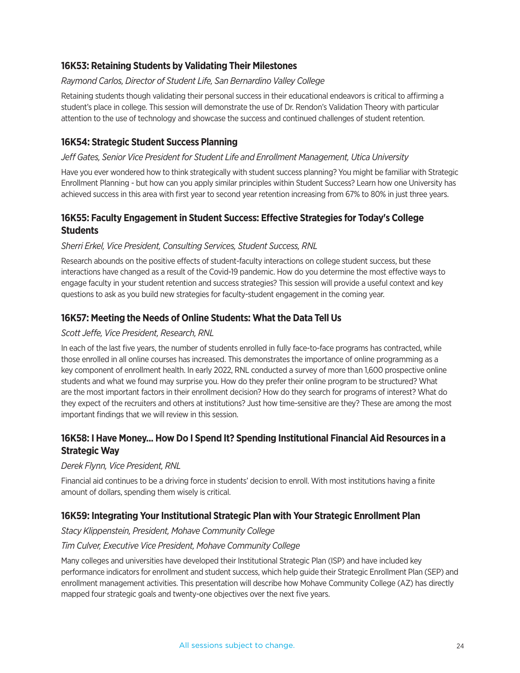# **16K53: Retaining Students by Validating Their Milestones**

#### *Raymond Carlos, Director of Student Life, San Bernardino Valley College*

Retaining students though validating their personal success in their educational endeavors is critical to affirming a student's place in college. This session will demonstrate the use of Dr. Rendon's Validation Theory with particular attention to the use of technology and showcase the success and continued challenges of student retention.

# **16K54: Strategic Student Success Planning**

#### *Jeff Gates, Senior Vice President for Student Life and Enrollment Management, Utica University*

Have you ever wondered how to think strategically with student success planning? You might be familiar with Strategic Enrollment Planning - but how can you apply similar principles within Student Success? Learn how one University has achieved success in this area with first year to second year retention increasing from 67% to 80% in just three years.

# **16K55: Faculty Engagement in Student Success: Effective Strategies for Today's College Students**

#### *Sherri Erkel, Vice President, Consulting Services, Student Success, RNL*

Research abounds on the positive effects of student-faculty interactions on college student success, but these interactions have changed as a result of the Covid-19 pandemic. How do you determine the most effective ways to engage faculty in your student retention and success strategies? This session will provide a useful context and key questions to ask as you build new strategies for faculty-student engagement in the coming year.

# **16K57: Meeting the Needs of Online Students: What the Data Tell Us**

#### *Scott Jeffe, Vice President, Research, RNL*

In each of the last five years, the number of students enrolled in fully face-to-face programs has contracted, while those enrolled in all online courses has increased. This demonstrates the importance of online programming as a key component of enrollment health. In early 2022, RNL conducted a survey of more than 1,600 prospective online students and what we found may surprise you. How do they prefer their online program to be structured? What are the most important factors in their enrollment decision? How do they search for programs of interest? What do they expect of the recruiters and others at institutions? Just how time-sensitive are they? These are among the most important findings that we will review in this session.

# **16K58: I Have Money... How Do I Spend It? Spending Institutional Financial Aid Resources in a Strategic Way**

#### *Derek Flynn, Vice President, RNL*

Financial aid continues to be a driving force in students' decision to enroll. With most institutions having a finite amount of dollars, spending them wisely is critical.

# **16K59: Integrating Your Institutional Strategic Plan with Your Strategic Enrollment Plan**

#### *Stacy Klippenstein, President, Mohave Community College*

#### *Tim Culver, Executive Vice President, Mohave Community College*

Many colleges and universities have developed their Institutional Strategic Plan (ISP) and have included key performance indicators for enrollment and student success, which help guide their Strategic Enrollment Plan (SEP) and enrollment management activities. This presentation will describe how Mohave Community College (AZ) has directly mapped four strategic goals and twenty-one objectives over the next five years.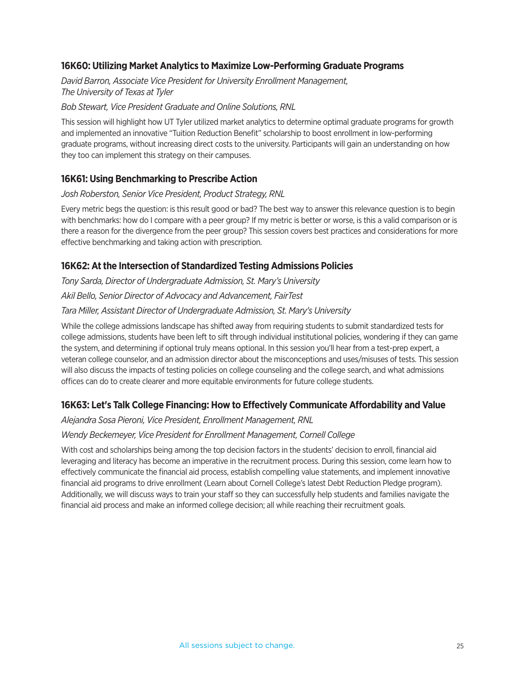# **16K60: Utilizing Market Analytics to Maximize Low-Performing Graduate Programs**

*David Barron, Associate Vice President for University Enrollment Management, The University of Texas at Tyler*

#### *Bob Stewart, Vice President Graduate and Online Solutions, RNL*

This session will highlight how UT Tyler utilized market analytics to determine optimal graduate programs for growth and implemented an innovative "Tuition Reduction Benefit" scholarship to boost enrollment in low-performing graduate programs, without increasing direct costs to the university. Participants will gain an understanding on how they too can implement this strategy on their campuses.

# **16K61: Using Benchmarking to Prescribe Action**

#### *Josh Roberston, Senior Vice President, Product Strategy, RNL*

Every metric begs the question: is this result good or bad? The best way to answer this relevance question is to begin with benchmarks: how do I compare with a peer group? If my metric is better or worse, is this a valid comparison or is there a reason for the divergence from the peer group? This session covers best practices and considerations for more effective benchmarking and taking action with prescription.

#### **16K62: At the Intersection of Standardized Testing Admissions Policies**

*Tony Sarda, Director of Undergraduate Admission, St. Mary's University Akil Bello, Senior Director of Advocacy and Advancement, FairTest*

#### *Tara Miller, Assistant Director of Undergraduate Admission, St. Mary's University*

While the college admissions landscape has shifted away from requiring students to submit standardized tests for college admissions, students have been left to sift through individual institutional policies, wondering if they can game the system, and determining if optional truly means optional. In this session you'll hear from a test-prep expert, a veteran college counselor, and an admission director about the misconceptions and uses/misuses of tests. This session will also discuss the impacts of testing policies on college counseling and the college search, and what admissions offices can do to create clearer and more equitable environments for future college students.

# **16K63: Let's Talk College Financing: How to Effectively Communicate Affordability and Value**

#### *Alejandra Sosa Pieroni, Vice President, Enrollment Management, RNL*

#### *Wendy Beckemeyer, Vice President for Enrollment Management, Cornell College*

With cost and scholarships being among the top decision factors in the students' decision to enroll, financial aid leveraging and literacy has become an imperative in the recruitment process. During this session, come learn how to effectively communicate the financial aid process, establish compelling value statements, and implement innovative financial aid programs to drive enrollment (Learn about Cornell College's latest Debt Reduction Pledge program). Additionally, we will discuss ways to train your staff so they can successfully help students and families navigate the financial aid process and make an informed college decision; all while reaching their recruitment goals.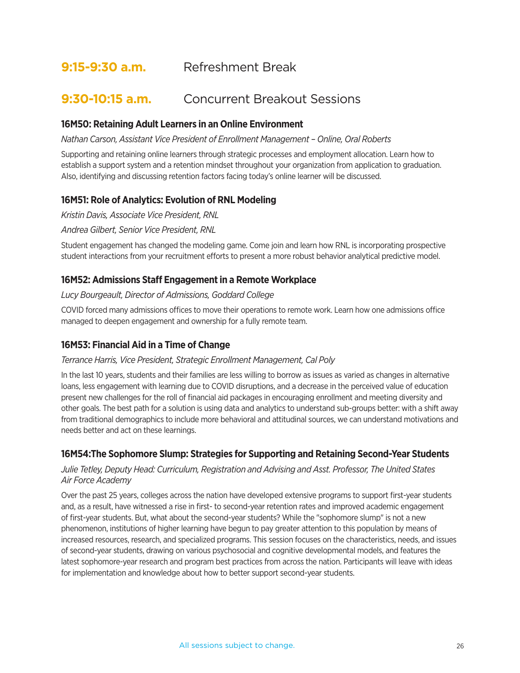# **9:15-9:30 a.m.** Refreshment Break

# **9:30-10:15 a.m.** Concurrent Breakout Sessions

#### **16M50: Retaining Adult Learners in an Online Environment**

*Nathan Carson, Assistant Vice President of Enrollment Management – Online, Oral Roberts* 

Supporting and retaining online learners through strategic processes and employment allocation. Learn how to establish a support system and a retention mindset throughout your organization from application to graduation. Also, identifying and discussing retention factors facing today's online learner will be discussed.

# **16M51: Role of Analytics: Evolution of RNL Modeling**

*Kristin Davis, Associate Vice President, RNL*

*Andrea Gilbert, Senior Vice President, RNL*

Student engagement has changed the modeling game. Come join and learn how RNL is incorporating prospective student interactions from your recruitment efforts to present a more robust behavior analytical predictive model.

#### **16M52: Admissions Staff Engagement in a Remote Workplace**

*Lucy Bourgeault, Director of Admissions, Goddard College*

COVID forced many admissions offices to move their operations to remote work. Learn how one admissions office managed to deepen engagement and ownership for a fully remote team.

#### **16M53: Financial Aid in a Time of Change**

#### *Terrance Harris, Vice President, Strategic Enrollment Management, Cal Poly*

In the last 10 years, students and their families are less willing to borrow as issues as varied as changes in alternative loans, less engagement with learning due to COVID disruptions, and a decrease in the perceived value of education present new challenges for the roll of financial aid packages in encouraging enrollment and meeting diversity and other goals. The best path for a solution is using data and analytics to understand sub-groups better: with a shift away from traditional demographics to include more behavioral and attitudinal sources, we can understand motivations and needs better and act on these learnings.

# **16M54:The Sophomore Slump: Strategies for Supporting and Retaining Second-Year Students**

#### *Julie Tetley, Deputy Head: Curriculum, Registration and Advising and Asst. Professor, The United States Air Force Academy*

Over the past 25 years, colleges across the nation have developed extensive programs to support first-year students and, as a result, have witnessed a rise in first- to second-year retention rates and improved academic engagement of first-year students. But, what about the second-year students? While the "sophomore slump" is not a new phenomenon, institutions of higher learning have begun to pay greater attention to this population by means of increased resources, research, and specialized programs. This session focuses on the characteristics, needs, and issues of second-year students, drawing on various psychosocial and cognitive developmental models, and features the latest sophomore-year research and program best practices from across the nation. Participants will leave with ideas for implementation and knowledge about how to better support second-year students.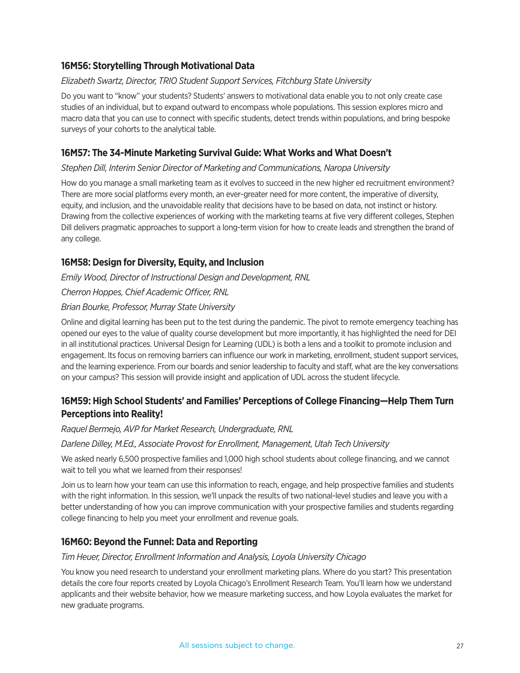# **16M56: Storytelling Through Motivational Data**

#### *Elizabeth Swartz, Director, TRIO Student Support Services, Fitchburg State University*

Do you want to "know" your students? Students' answers to motivational data enable you to not only create case studies of an individual, but to expand outward to encompass whole populations. This session explores micro and macro data that you can use to connect with specific students, detect trends within populations, and bring bespoke surveys of your cohorts to the analytical table.

# **16M57: The 34-Minute Marketing Survival Guide: What Works and What Doesn't**

#### *Stephen Dill, Interim Senior Director of Marketing and Communications, Naropa University*

How do you manage a small marketing team as it evolves to succeed in the new higher ed recruitment environment? There are more social platforms every month, an ever-greater need for more content, the imperative of diversity, equity, and inclusion, and the unavoidable reality that decisions have to be based on data, not instinct or history. Drawing from the collective experiences of working with the marketing teams at five very different colleges, Stephen Dill delivers pragmatic approaches to support a long-term vision for how to create leads and strengthen the brand of any college.

# **16M58: Design for Diversity, Equity, and Inclusion**

*Emily Wood, Director of Instructional Design and Development, RNL*

*Cherron Hoppes, Chief Academic Officer, RNL*

#### *Brian Bourke, Professor, Murray State University*

Online and digital learning has been put to the test during the pandemic. The pivot to remote emergency teaching has opened our eyes to the value of quality course development but more importantly, it has highlighted the need for DEI in all institutional practices. Universal Design for Learning (UDL) is both a lens and a toolkit to promote inclusion and engagement. Its focus on removing barriers can influence our work in marketing, enrollment, student support services, and the learning experience. From our boards and senior leadership to faculty and staff, what are the key conversations on your campus? This session will provide insight and application of UDL across the student lifecycle.

# **16M59: High School Students' and Families' Perceptions of College Financing—Help Them Turn Perceptions into Reality!**

#### *Raquel Bermejo, AVP for Market Research, Undergraduate, RNL*

#### *Darlene Dilley, M.Ed., Associate Provost for Enrollment, Management, Utah Tech University*

We asked nearly 6,500 prospective families and 1,000 high school students about college financing, and we cannot wait to tell you what we learned from their responses!

Join us to learn how your team can use this information to reach, engage, and help prospective families and students with the right information. In this session, we'll unpack the results of two national-level studies and leave you with a better understanding of how you can improve communication with your prospective families and students regarding college financing to help you meet your enrollment and revenue goals.

# **16M60: Beyond the Funnel: Data and Reporting**

#### *Tim Heuer, Director, Enrollment Information and Analysis, Loyola University Chicago*

You know you need research to understand your enrollment marketing plans. Where do you start? This presentation details the core four reports created by Loyola Chicago's Enrollment Research Team. You'll learn how we understand applicants and their website behavior, how we measure marketing success, and how Loyola evaluates the market for new graduate programs.